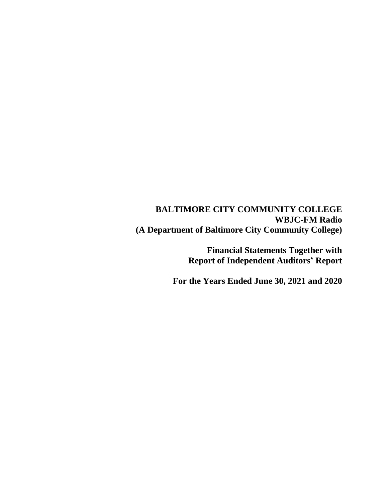# **BALTIMORE CITY COMMUNITY COLLEGE WBJC-FM Radio (A Department of Baltimore City Community College)**

**Financial Statements Together with Report of Independent Auditors' Report**

**For the Years Ended June 30, 2021 and 2020**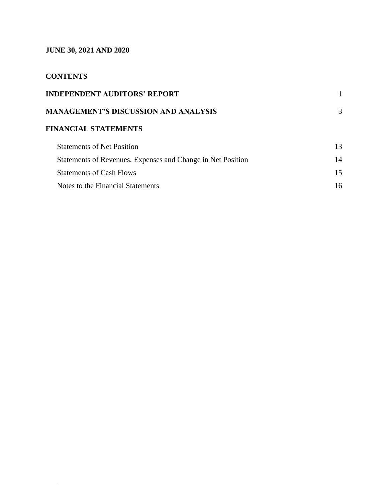# **JUNE 30, 2021 AND 2020**

# **CONTENTS**

| <b>INDEPENDENT AUDITORS' REPORT</b>                         |    |
|-------------------------------------------------------------|----|
| <b>MANAGEMENT'S DISCUSSION AND ANALYSIS</b>                 | 3  |
| <b>FINANCIAL STATEMENTS</b>                                 |    |
| <b>Statements of Net Position</b>                           | 13 |
| Statements of Revenues, Expenses and Change in Net Position | 14 |
| <b>Statements of Cash Flows</b>                             | 15 |
| Notes to the Financial Statements                           | 16 |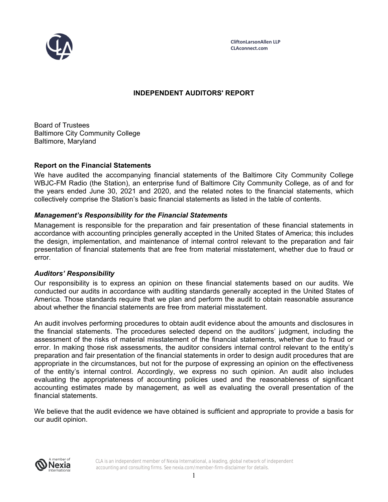

**CliftonLarsonAllen LLP CLAconnect.com**

### **INDEPENDENT AUDITORS' REPORT**

Board of Trustees Baltimore City Community College Baltimore, Maryland

#### **Report on the Financial Statements**

We have audited the accompanying financial statements of the Baltimore City Community College WBJC-FM Radio (the Station), an enterprise fund of Baltimore City Community College, as of and for the years ended June 30, 2021 and 2020, and the related notes to the financial statements, which collectively comprise the Station's basic financial statements as listed in the table of contents.

#### *Management's Responsibility for the Financial Statements*

Management is responsible for the preparation and fair presentation of these financial statements in accordance with accounting principles generally accepted in the United States of America; this includes the design, implementation, and maintenance of internal control relevant to the preparation and fair presentation of financial statements that are free from material misstatement, whether due to fraud or error.

#### *Auditors' Responsibility*

Our responsibility is to express an opinion on these financial statements based on our audits. We conducted our audits in accordance with auditing standards generally accepted in the United States of America. Those standards require that we plan and perform the audit to obtain reasonable assurance about whether the financial statements are free from material misstatement.

An audit involves performing procedures to obtain audit evidence about the amounts and disclosures in the financial statements. The procedures selected depend on the auditors' judgment, including the assessment of the risks of material misstatement of the financial statements, whether due to fraud or error. In making those risk assessments, the auditor considers internal control relevant to the entity's preparation and fair presentation of the financial statements in order to design audit procedures that are appropriate in the circumstances, but not for the purpose of expressing an opinion on the effectiveness of the entity's internal control. Accordingly, we express no such opinion. An audit also includes evaluating the appropriateness of accounting policies used and the reasonableness of significant accounting estimates made by management, as well as evaluating the overall presentation of the financial statements.

We believe that the audit evidence we have obtained is sufficient and appropriate to provide a basis for our audit opinion.



CLA is an independent member of Nexia International, a leading, global network of independent accounting and consulting firms. See nexia.com/member-firm-disclaimer for details.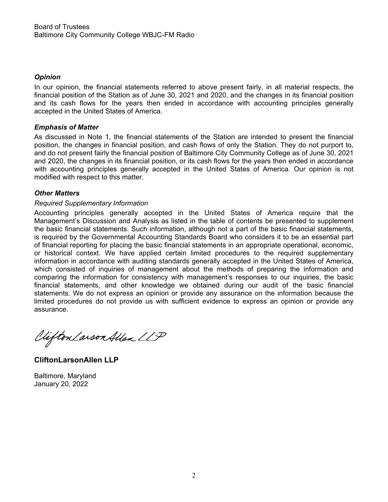### *Opinion*

In our opinion, the financial statements referred to above present fairly, in all material respects, the financial position of the Station as of June 30, 2021 and 2020, and the changes in its financial position and its cash flows for the years then ended in accordance with accounting principles generally accepted in the United States of America.

#### *Emphasis of Matter*

As discussed in Note 1, the financial statements of the Station are intended to present the financial position, the changes in financial position, and cash flows of only the Station. They do not purport to, and do not present fairly the financial position of Baltimore City Community College as of June 30, 2021 and 2020, the changes in its financial position, or its cash flows for the years then ended in accordance with accounting principles generally accepted in the United States of America. Our opinion is not modified with respect to this matter.

#### *Other Matters*

#### *Required Supplementary Information*

Accounting principles generally accepted in the United States of America require that the Management's Discussion and Analysis as listed in the table of contents be presented to supplement the basic financial statements. Such information, although not a part of the basic financial statements, is required by the Governmental Accounting Standards Board who considers it to be an essential part of financial reporting for placing the basic financial statements in an appropriate operational, economic, or historical context. We have applied certain limited procedures to the required supplementary information in accordance with auditing standards generally accepted in the United States of America, which consisted of inquiries of management about the methods of preparing the information and comparing the information for consistency with management's responses to our inquiries, the basic financial statements, and other knowledge we obtained during our audit of the basic financial statements. We do not express an opinion or provide any assurance on the information because the limited procedures do not provide us with sufficient evidence to express an opinion or provide any assurance.

Viifton Larson Allen LLP

**CliftonLarsonAllen LLP** 

Baltimore, Maryland January 20, 2022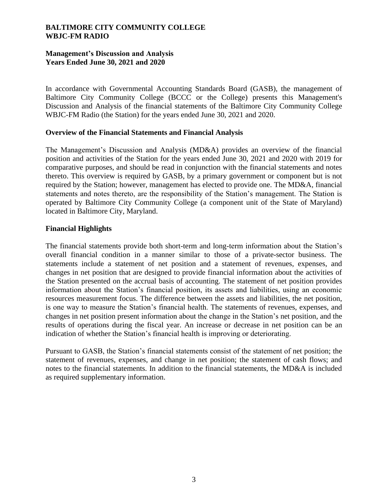# **Management's Discussion and Analysis Years Ended June 30, 2021 and 2020**

In accordance with Governmental Accounting Standards Board (GASB), the management of Baltimore City Community College (BCCC or the College) presents this Management's Discussion and Analysis of the financial statements of the Baltimore City Community College WBJC-FM Radio (the Station) for the years ended June 30, 2021 and 2020.

#### **Overview of the Financial Statements and Financial Analysis**

The Management's Discussion and Analysis (MD&A) provides an overview of the financial position and activities of the Station for the years ended June 30, 2021 and 2020 with 2019 for comparative purposes, and should be read in conjunction with the financial statements and notes thereto. This overview is required by GASB, by a primary government or component but is not required by the Station; however, management has elected to provide one. The MD&A, financial statements and notes thereto, are the responsibility of the Station's management. The Station is operated by Baltimore City Community College (a component unit of the State of Maryland) located in Baltimore City, Maryland.

#### **Financial Highlights**

The financial statements provide both short-term and long-term information about the Station's overall financial condition in a manner similar to those of a private-sector business. The statements include a statement of net position and a statement of revenues, expenses, and changes in net position that are designed to provide financial information about the activities of the Station presented on the accrual basis of accounting. The statement of net position provides information about the Station's financial position, its assets and liabilities, using an economic resources measurement focus. The difference between the assets and liabilities, the net position, is one way to measure the Station's financial health. The statements of revenues, expenses, and changes in net position present information about the change in the Station's net position, and the results of operations during the fiscal year. An increase or decrease in net position can be an indication of whether the Station's financial health is improving or deteriorating.

Pursuant to GASB, the Station's financial statements consist of the statement of net position; the statement of revenues, expenses, and change in net position; the statement of cash flows; and notes to the financial statements. In addition to the financial statements, the MD&A is included as required supplementary information.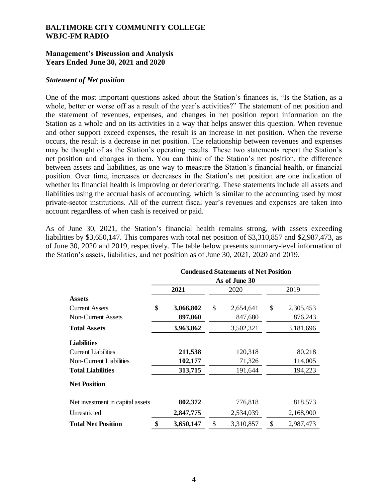### **Management's Discussion and Analysis Years Ended June 30, 2021 and 2020**

#### *Statement of Net position*

One of the most important questions asked about the Station's finances is, "Is the Station, as a whole, better or worse off as a result of the year's activities?" The statement of net position and the statement of revenues, expenses, and changes in net position report information on the Station as a whole and on its activities in a way that helps answer this question. When revenue and other support exceed expenses, the result is an increase in net position. When the reverse occurs, the result is a decrease in net position. The relationship between revenues and expenses may be thought of as the Station's operating results. These two statements report the Station's net position and changes in them. You can think of the Station's net position, the difference between assets and liabilities, as one way to measure the Station's financial health, or financial position. Over time, increases or decreases in the Station's net position are one indication of whether its financial health is improving or deteriorating. These statements include all assets and liabilities using the accrual basis of accounting, which is similar to the accounting used by most private-sector institutions. All of the current fiscal year's revenues and expenses are taken into account regardless of when cash is received or paid.

As of June 30, 2021, the Station's financial health remains strong, with assets exceeding liabilities by \$3,650,147. This compares with total net position of \$3,310,857 and \$2,987,473, as of June 30, 2020 and 2019, respectively. The table below presents summary-level information of the Station's assets, liabilities, and net position as of June 30, 2021, 2020 and 2019.

|                                  | <b>Condensed Statements of Net Position</b> |           |    |           |    |           |  |  |  |
|----------------------------------|---------------------------------------------|-----------|----|-----------|----|-----------|--|--|--|
|                                  | As of June 30                               |           |    |           |    |           |  |  |  |
|                                  |                                             | 2021      |    | 2020      |    | 2019      |  |  |  |
| <b>Assets</b>                    |                                             |           |    |           |    |           |  |  |  |
| <b>Current Assets</b>            | \$                                          | 3,066,802 | \$ | 2,654,641 | \$ | 2,305,453 |  |  |  |
| <b>Non-Current Assets</b>        |                                             | 897,060   |    | 847,680   |    | 876,243   |  |  |  |
| <b>Total Assets</b>              |                                             | 3,963,862 |    | 3,502,321 |    | 3,181,696 |  |  |  |
| <b>Liabilities</b>               |                                             |           |    |           |    |           |  |  |  |
| <b>Current Liabilities</b>       |                                             | 211,538   |    | 120,318   |    | 80,218    |  |  |  |
| Non-Current Liabilities          |                                             | 102,177   |    | 71,326    |    | 114,005   |  |  |  |
| <b>Total Liabilities</b>         |                                             | 313,715   |    | 191,644   |    | 194,223   |  |  |  |
| <b>Net Position</b>              |                                             |           |    |           |    |           |  |  |  |
| Net investment in capital assets |                                             | 802,372   |    | 776,818   |    | 818,573   |  |  |  |
| Unrestricted                     |                                             | 2,847,775 |    | 2,534,039 |    | 2,168,900 |  |  |  |
| <b>Total Net Position</b>        | \$                                          | 3,650,147 | \$ | 3,310,857 | \$ | 2,987,473 |  |  |  |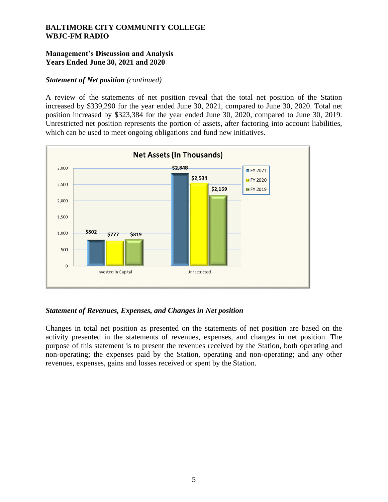# **Management's Discussion and Analysis Years Ended June 30, 2021 and 2020**

### *Statement of Net position (continued)*

A review of the statements of net position reveal that the total net position of the Station increased by \$339,290 for the year ended June 30, 2021, compared to June 30, 2020. Total net position increased by \$323,384 for the year ended June 30, 2020, compared to June 30, 2019. Unrestricted net position represents the portion of assets, after factoring into account liabilities, which can be used to meet ongoing obligations and fund new initiatives.



# *Statement of Revenues, Expenses, and Changes in Net position*

Changes in total net position as presented on the statements of net position are based on the activity presented in the statements of revenues, expenses, and changes in net position. The purpose of this statement is to present the revenues received by the Station, both operating and non-operating; the expenses paid by the Station, operating and non-operating; and any other revenues, expenses, gains and losses received or spent by the Station.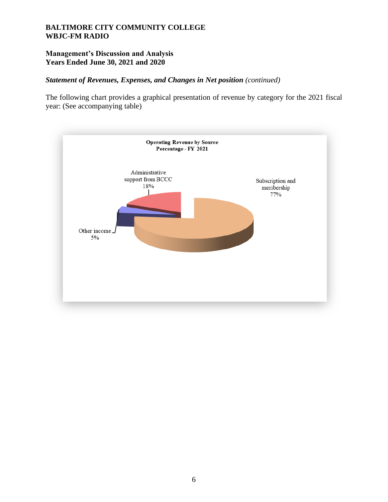# **Management's Discussion and Analysis Years Ended June 30, 2021 and 2020**

# *Statement of Revenues, Expenses, and Changes in Net position (continued)*

The following chart provides a graphical presentation of revenue by category for the 2021 fiscal year: (See accompanying table)

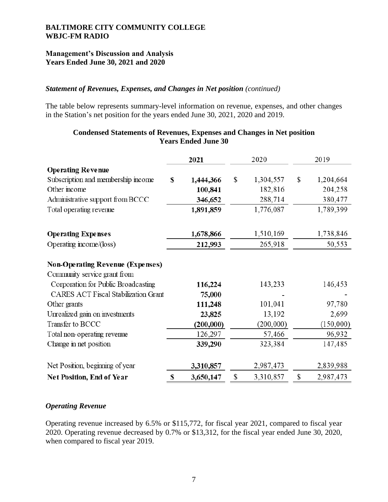# **Management's Discussion and Analysis Years Ended June 30, 2021 and 2020**

# *Statement of Revenues, Expenses, and Changes in Net position (continued)*

The table below represents summary-level information on revenue, expenses, and other changes in the Station's net position for the years ended June 30, 2021, 2020 and 2019.

|                                             | 2020<br>2021 |           | 2019            |                 |
|---------------------------------------------|--------------|-----------|-----------------|-----------------|
| <b>Operating Revenue</b>                    |              |           |                 |                 |
| Subscription and membership income          | $\mathbf S$  | 1,444,366 | \$<br>1,304,557 | \$<br>1,204,664 |
| Other income                                |              | 100,841   | 182,816         | 204,258         |
| Administrative support from BCCC            |              | 346,652   | 288,714         | 380,477         |
| Total operating revenue                     |              | 1,891,859 | 1,776,087       | 1,789,399       |
| <b>Operating Expenses</b>                   |              | 1,678,866 | 1,510,169       | 1,738,846       |
| Operating income/(loss)                     |              | 212,993   | 265,918         | 50,553          |
| <b>Non-Operating Revenue (Expenses)</b>     |              |           |                 |                 |
| Community service grant from                |              |           |                 |                 |
| Corporation for Public Broadcasting         |              | 116,224   | 143,233         | 146,453         |
| <b>CARES ACT Fiscal Stabilization Grant</b> |              | 75,000    |                 |                 |
| Other grants                                |              | 111,248   | 101,041         | 97,780          |
| Unrealized gain on investments              |              | 23,825    | 13,192          | 2,699           |
| Transfer to BCCC                            |              | (200,000) | (200,000)       | (150,000)       |
| Total non-operating revenue                 |              | 126,297   | 57,466          | 96,932          |
| Change in net position                      |              | 339,290   | 323,384         | 147,485         |
| Net Position, beginning of year             |              | 3,310,857 | 2,987,473       | 2,839,988       |
| Net Position, End of Year                   | \$           | 3,650,147 | \$<br>3,310,857 | \$<br>2,987,473 |

### **Condensed Statements of Revenues, Expenses and Changes in Net position Years Ended June 30**

#### *Operating Revenue*

Operating revenue increased by 6.5% or \$115,772, for fiscal year 2021, compared to fiscal year 2020. Operating revenue decreased by 0.7% or \$13,312, for the fiscal year ended June 30, 2020, when compared to fiscal year 2019.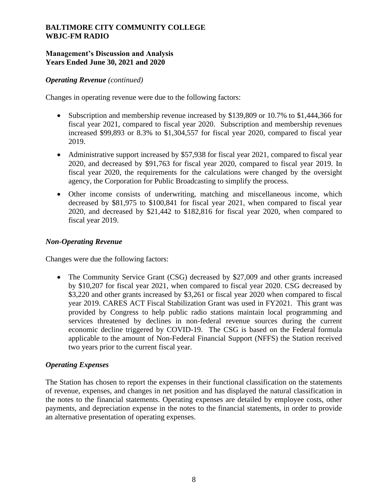# **Management's Discussion and Analysis Years Ended June 30, 2021 and 2020**

### *Operating Revenue (continued)*

Changes in operating revenue were due to the following factors:

- Subscription and membership revenue increased by \$139,809 or 10.7% to \$1,444,366 for fiscal year 2021, compared to fiscal year 2020. Subscription and membership revenues increased \$99,893 or 8.3% to \$1,304,557 for fiscal year 2020, compared to fiscal year 2019.
- Administrative support increased by \$57,938 for fiscal year 2021, compared to fiscal year 2020, and decreased by \$91,763 for fiscal year 2020, compared to fiscal year 2019. In fiscal year 2020, the requirements for the calculations were changed by the oversight agency, the Corporation for Public Broadcasting to simplify the process.
- Other income consists of underwriting, matching and miscellaneous income, which decreased by \$81,975 to \$100,841 for fiscal year 2021, when compared to fiscal year 2020, and decreased by \$21,442 to \$182,816 for fiscal year 2020, when compared to fiscal year 2019.

## *Non-Operating Revenue*

Changes were due the following factors:

• The Community Service Grant (CSG) decreased by \$27,009 and other grants increased by \$10,207 for fiscal year 2021, when compared to fiscal year 2020. CSG decreased by \$3,220 and other grants increased by \$3,261 or fiscal year 2020 when compared to fiscal year 2019. CARES ACT Fiscal Stabilization Grant was used in FY2021. This grant was provided by Congress to help public radio stations maintain local programming and services threatened by declines in non-federal revenue sources during the current economic decline triggered by COVID-19. The CSG is based on the Federal formula applicable to the amount of Non-Federal Financial Support (NFFS) the Station received two years prior to the current fiscal year.

#### *Operating Expenses*

The Station has chosen to report the expenses in their functional classification on the statements of revenue, expenses, and changes in net position and has displayed the natural classification in the notes to the financial statements. Operating expenses are detailed by employee costs, other payments, and depreciation expense in the notes to the financial statements, in order to provide an alternative presentation of operating expenses.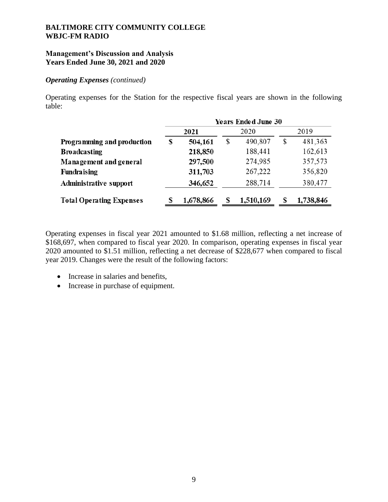### **Management's Discussion and Analysis Years Ended June 30, 2021 and 2020**

#### *Operating Expenses (continued)*

Operating expenses for the Station for the respective fiscal years are shown in the following table:

|                                 | <b>Years Ended June 30</b> |           |    |           |    |           |  |  |
|---------------------------------|----------------------------|-----------|----|-----------|----|-----------|--|--|
|                                 |                            | 2021      |    | 2020      |    | 2019      |  |  |
| Programming and production      | S                          | 504,161   | \$ | 490,807   | \$ | 481,363   |  |  |
| <b>Broadcasting</b>             |                            | 218,850   |    | 188,441   |    | 162,613   |  |  |
| Management and general          |                            | 297,500   |    | 274,985   |    | 357,573   |  |  |
| Fundraising                     |                            | 311,703   |    | 267,222   |    | 356,820   |  |  |
| Administrative support          |                            | 346,652   |    | 288,714   |    | 380,477   |  |  |
| <b>Total Operating Expenses</b> | ς                          | 1,678,866 | S  | 1,510,169 | S  | 1,738,846 |  |  |

Operating expenses in fiscal year 2021 amounted to \$1.68 million, reflecting a net increase of \$168,697, when compared to fiscal year 2020. In comparison, operating expenses in fiscal year 2020 amounted to \$1.51 million, reflecting a net decrease of \$228,677 when compared to fiscal year 2019. Changes were the result of the following factors:

- Increase in salaries and benefits,
- Increase in purchase of equipment.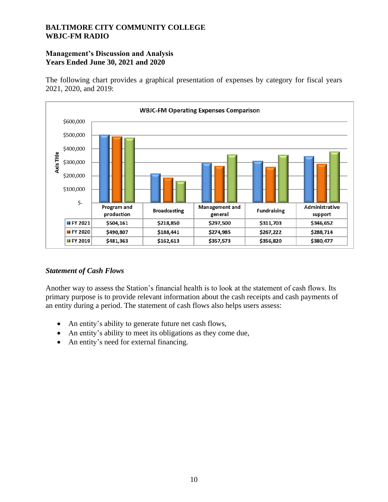# **Management's Discussion and Analysis Years Ended June 30, 2021 and 2020**

The following chart provides a graphical presentation of expenses by category for fiscal years 2021, 2020, and 2019:



# *Statement of Cash Flows*

Another way to assess the Station's financial health is to look at the statement of cash flows. Its primary purpose is to provide relevant information about the cash receipts and cash payments of an entity during a period. The statement of cash flows also helps users assess:

- An entity's ability to generate future net cash flows,
- An entity's ability to meet its obligations as they come due,
- An entity's need for external financing.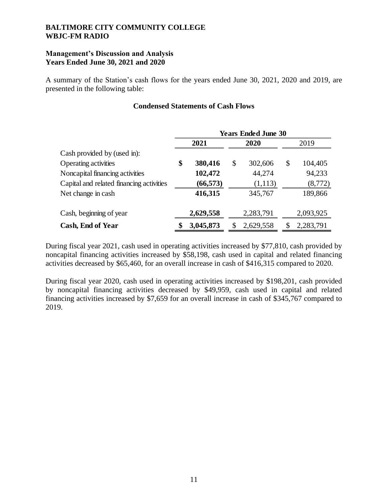# **Management's Discussion and Analysis Years Ended June 30, 2021 and 2020**

A summary of the Station's cash flows for the years ended June 30, 2021, 2020 and 2019, are presented in the following table:

## **Condensed Statements of Cash Flows**

|                                          | <b>Years Ended June 30</b> |           |      |           |    |           |  |  |
|------------------------------------------|----------------------------|-----------|------|-----------|----|-----------|--|--|
|                                          | 2021                       |           | 2020 |           |    | 2019      |  |  |
| Cash provided by (used in):              |                            |           |      |           |    |           |  |  |
| Operating activities                     | \$                         | 380,416   | \$   | 302,606   | \$ | 104,405   |  |  |
| Noncapital financing activities          |                            | 102,472   |      | 44,274    |    | 94,233    |  |  |
| Capital and related financing activities |                            | (66, 573) |      | (1,113)   |    | (8,772)   |  |  |
| Net change in cash                       |                            | 416,315   |      | 345,767   |    | 189,866   |  |  |
| Cash, beginning of year                  |                            | 2,629,558 |      | 2,283,791 |    | 2,093,925 |  |  |
| <b>Cash, End of Year</b>                 |                            | 3,045,873 | \$   | 2,629,558 |    | 2,283,791 |  |  |

During fiscal year 2021, cash used in operating activities increased by \$77,810, cash provided by noncapital financing activities increased by \$58,198, cash used in capital and related financing activities decreased by \$65,460, for an overall increase in cash of \$416,315 compared to 2020.

During fiscal year 2020, cash used in operating activities increased by \$198,201, cash provided by noncapital financing activities decreased by \$49,959, cash used in capital and related financing activities increased by \$7,659 for an overall increase in cash of \$345,767 compared to 2019.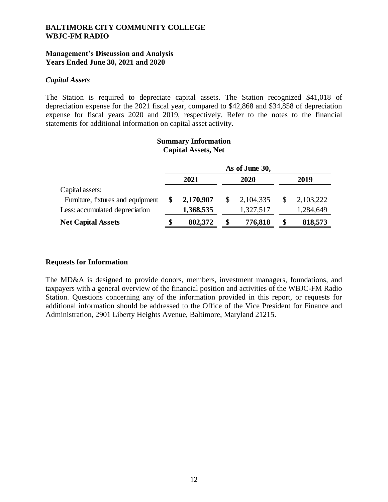### **Management's Discussion and Analysis Years Ended June 30, 2021 and 2020**

#### *Capital Assets*

The Station is required to depreciate capital assets. The Station recognized \$41,018 of depreciation expense for the 2021 fiscal year, compared to \$42,868 and \$34,858 of depreciation expense for fiscal years 2020 and 2019, respectively. Refer to the notes to the financial statements for additional information on capital asset activity.

#### **Summary Information Capital Assets, Net**

|                                   | As of June 30, |           |    |             |      |           |  |  |
|-----------------------------------|----------------|-----------|----|-------------|------|-----------|--|--|
|                                   |                | 2021      |    | 2020        | 2019 |           |  |  |
| Capital assets:                   |                |           |    |             |      |           |  |  |
| Furniture, fixtures and equipment |                | 2,170,907 |    | 2, 104, 335 | \$   | 2,103,222 |  |  |
| Less: accumulated depreciation    |                | 1,368,535 |    | 1,327,517   |      | 1,284,649 |  |  |
| <b>Net Capital Assets</b>         | \$             | 802,372   | \$ | 776,818     | \$   | 818,573   |  |  |

#### **Requests for Information**

The MD&A is designed to provide donors, members, investment managers, foundations, and taxpayers with a general overview of the financial position and activities of the WBJC-FM Radio Station. Questions concerning any of the information provided in this report, or requests for additional information should be addressed to the Office of the Vice President for Finance and Administration, 2901 Liberty Heights Avenue, Baltimore, Maryland 21215.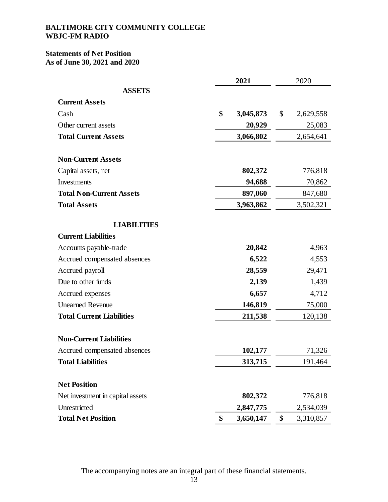# **Statements of Net Position As of June 30, 2021 and 2020**

|                                  | 2021            | 2020            |
|----------------------------------|-----------------|-----------------|
| <b>ASSETS</b>                    |                 |                 |
| <b>Current Assets</b>            |                 |                 |
| Cash                             | \$<br>3,045,873 | \$<br>2,629,558 |
| Other current assets             | 20,929          | 25,083          |
| <b>Total Current Assets</b>      | 3,066,802       | 2,654,641       |
|                                  |                 |                 |
| <b>Non-Current Assets</b>        |                 |                 |
| Capital assets, net              | 802,372         | 776,818         |
| Investments                      | 94,688          | 70,862          |
| <b>Total Non-Current Assets</b>  | 897,060         | 847,680         |
| <b>Total Assets</b>              | 3,963,862       | 3,502,321       |
| <b>LIABILITIES</b>               |                 |                 |
| <b>Current Liabilities</b>       |                 |                 |
| Accounts payable-trade           | 20,842          | 4,963           |
| Accrued compensated absences     | 6,522           | 4,553           |
| Accrued payroll                  | 28,559          | 29,471          |
| Due to other funds               | 2,139           | 1,439           |
| Accrued expenses                 | 6,657           | 4,712           |
| <b>Unearned Revenue</b>          | 146,819         | 75,000          |
| <b>Total Current Liabilities</b> | 211,538         | 120,138         |
| <b>Non-Current Liabilities</b>   |                 |                 |
| Accrued compensated absences     | 102,177         | 71,326          |
| <b>Total Liabilities</b>         | 313,715         | 191,464         |
|                                  |                 |                 |
| <b>Net Position</b>              |                 |                 |
| Net investment in capital assets | 802,372         | 776,818         |
| Unrestricted                     | 2,847,775       | 2,534,039       |
| <b>Total Net Position</b>        | \$<br>3,650,147 | \$<br>3,310,857 |

The accompanying notes are an integral part of these financial statements.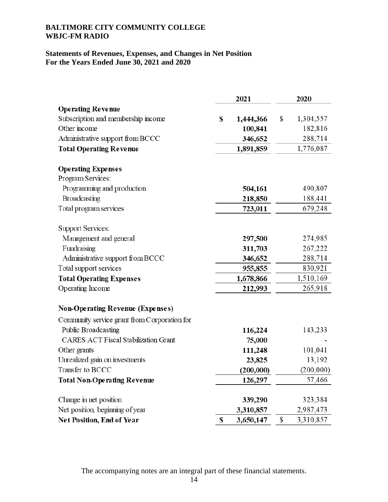# **Statements of Revenues, Expenses, and Changes in Net Position For the Years Ended June 30, 2021 and 2020**

|                                              | 2021 |           |    | 2020      |  |  |
|----------------------------------------------|------|-----------|----|-----------|--|--|
| <b>Operating Revenue</b>                     |      |           |    |           |  |  |
| Subscription and membership income           | \$   | 1,444,366 | \$ | 1,304,557 |  |  |
| Other income                                 |      | 100,841   |    | 182,816   |  |  |
| Administrative support from BCCC             |      | 346,652   |    | 288,714   |  |  |
| <b>Total Operating Revenue</b>               |      | 1,891,859 |    | 1,776,087 |  |  |
| <b>Operating Expenses</b>                    |      |           |    |           |  |  |
| Program Services:                            |      |           |    |           |  |  |
| Programming and production                   |      | 504,161   |    | 490,807   |  |  |
| Broadcasting                                 |      | 218,850   |    | 188,441   |  |  |
| Total program services                       |      | 723,011   |    | 679,248   |  |  |
| <b>Support Services:</b>                     |      |           |    |           |  |  |
| Management and general                       |      | 297,500   |    | 274,985   |  |  |
| Fundraising                                  |      | 311,703   |    | 267,222   |  |  |
| Administrative support from BCCC             |      | 346,652   |    | 288,714   |  |  |
| Total support services                       |      | 955,855   |    | 830,921   |  |  |
| <b>Total Operating Expenses</b>              |      | 1,678,866 |    | 1,510,169 |  |  |
| Operating Income                             |      | 212,993   |    | 265,918   |  |  |
| <b>Non-Operating Revenue (Expenses)</b>      |      |           |    |           |  |  |
| Community service grant from Corporation for |      |           |    |           |  |  |
| Public Broadcasting                          |      | 116,224   |    | 143,233   |  |  |
| <b>CARES ACT Fiscal Stabilization Grant</b>  |      | 75,000    |    |           |  |  |
| Other grants                                 |      | 111,248   |    | 101,041   |  |  |
| Unrealized gain on investments               |      | 23,825    |    | 13,192    |  |  |
| Transfer to BCCC                             |      | (200,000) |    | (200,000) |  |  |
| <b>Total Non-Operating Revenue</b>           |      | 126,297   |    | 57,466    |  |  |
| Change in net position                       |      | 339,290   |    | 323,384   |  |  |
| Net position, beginning of year              |      | 3,310,857 |    | 2,987,473 |  |  |
| Net Position, End of Year                    | \$   | 3,650,147 | \$ | 3,310,857 |  |  |

The accompanying notes are an integral part of these financial statements.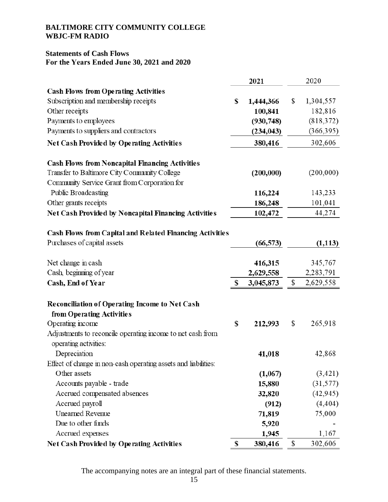# **Statements of Cash Flows For the Years Ended June 30, 2021 and 2020**

|                                                                                     | 2021            | 2020            |
|-------------------------------------------------------------------------------------|-----------------|-----------------|
| <b>Cash Flows from Operating Activities</b>                                         |                 |                 |
| Subscription and membership receipts                                                | \$<br>1,444,366 | \$<br>1,304,557 |
| Other receipts                                                                      | 100,841         | 182,816         |
| Payments to employees                                                               | (930,748)       | (818, 372)      |
| Payments to suppliers and contractors                                               | (234, 043)      | (366, 395)      |
| Net Cash Provided by Operating Activities                                           | 380,416         | 302,606         |
| <b>Cash Flows from Noncapital Financing Activities</b>                              |                 |                 |
| Transfer to Baltimore City Community College                                        | (200,000)       | (200,000)       |
| Community Service Grant from Corporation for                                        |                 |                 |
| Public Broadcasting                                                                 | 116,224         | 143,233         |
| Other grants receipts                                                               | 186,248         | 101,041         |
| Net Cash Provided by Noncapital Financing Activities                                | 102,472         | 44,274          |
| Cash Flows from Capital and Related Financing Activities                            |                 |                 |
| Purchases of capital assets                                                         | (66, 573)       | (1, 113)        |
| Net change in cash                                                                  | 416,315         | 345,767         |
| Cash, beginning of year                                                             | 2,629,558       | 2,283,791       |
| Cash, End of Year                                                                   | \$<br>3,045,873 | \$<br>2,629,558 |
| Reconciliation of Operating Income to Net Cash                                      |                 |                 |
| from Operating Activities                                                           |                 |                 |
| Operating income                                                                    | \$<br>212,993   | \$<br>265,918   |
| Adjustments to reconcile operating income to net cash from<br>operating activities: |                 |                 |
| Depreciation                                                                        | 41,018          | 42,868          |
| Effect of change in non-cash operating assets and liabilities:                      |                 |                 |
| Other assets                                                                        | (1,067)         | (3, 421)        |
| Accounts payable - trade                                                            | 15,880          | (31, 577)       |
| Accrued compensated absences                                                        | 32,820          | (42, 945)       |
| Accrued payroll                                                                     | (912)           | (4, 404)        |
| <b>Unearned Revenue</b>                                                             | 71,819          | 75,000          |
| Due to other funds                                                                  | 5,920           |                 |
| Accrued expenses                                                                    | 1,945           | 1,167           |
| Net Cash Provided by Operating Activities                                           | \$<br>380,416   | \$<br>302,606   |

The accompanying notes are an integral part of these financial statements.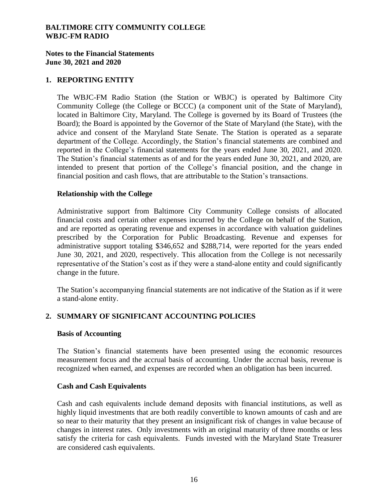## **Notes to the Financial Statements June 30, 2021 and 2020**

### **1. REPORTING ENTITY**

The WBJC-FM Radio Station (the Station or WBJC) is operated by Baltimore City Community College (the College or BCCC) (a component unit of the State of Maryland), located in Baltimore City, Maryland. The College is governed by its Board of Trustees (the Board); the Board is appointed by the Governor of the State of Maryland (the State), with the advice and consent of the Maryland State Senate. The Station is operated as a separate department of the College. Accordingly, the Station's financial statements are combined and reported in the College's financial statements for the years ended June 30, 2021, and 2020. The Station's financial statements as of and for the years ended June 30, 2021, and 2020, are intended to present that portion of the College's financial position, and the change in financial position and cash flows, that are attributable to the Station's transactions.

#### **Relationship with the College**

Administrative support from Baltimore City Community College consists of allocated financial costs and certain other expenses incurred by the College on behalf of the Station, and are reported as operating revenue and expenses in accordance with valuation guidelines prescribed by the Corporation for Public Broadcasting. Revenue and expenses for administrative support totaling \$346,652 and \$288,714, were reported for the years ended June 30, 2021, and 2020, respectively. This allocation from the College is not necessarily representative of the Station's cost as if they were a stand-alone entity and could significantly change in the future.

The Station's accompanying financial statements are not indicative of the Station as if it were a stand-alone entity.

# **2. SUMMARY OF SIGNIFICANT ACCOUNTING POLICIES**

#### **Basis of Accounting**

The Station's financial statements have been presented using the economic resources measurement focus and the accrual basis of accounting. Under the accrual basis, revenue is recognized when earned, and expenses are recorded when an obligation has been incurred.

#### **Cash and Cash Equivalents**

Cash and cash equivalents include demand deposits with financial institutions, as well as highly liquid investments that are both readily convertible to known amounts of cash and are so near to their maturity that they present an insignificant risk of changes in value because of changes in interest rates. Only investments with an original maturity of three months or less satisfy the criteria for cash equivalents. Funds invested with the Maryland State Treasurer are considered cash equivalents.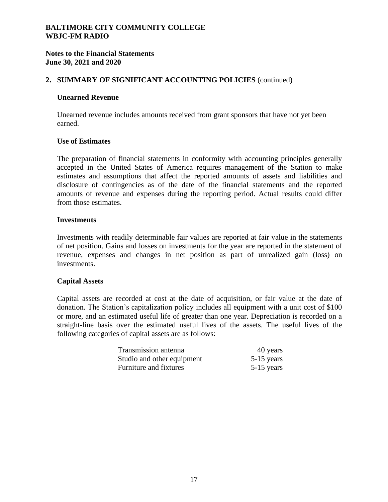## **Notes to the Financial Statements June 30, 2021 and 2020**

# **2. SUMMARY OF SIGNIFICANT ACCOUNTING POLICIES** (continued)

#### **Unearned Revenue**

Unearned revenue includes amounts received from grant sponsors that have not yet been earned.

#### **Use of Estimates**

The preparation of financial statements in conformity with accounting principles generally accepted in the United States of America requires management of the Station to make estimates and assumptions that affect the reported amounts of assets and liabilities and disclosure of contingencies as of the date of the financial statements and the reported amounts of revenue and expenses during the reporting period. Actual results could differ from those estimates.

#### **Investments**

Investments with readily determinable fair values are reported at fair value in the statements of net position. Gains and losses on investments for the year are reported in the statement of revenue, expenses and changes in net position as part of unrealized gain (loss) on investments.

#### **Capital Assets**

Capital assets are recorded at cost at the date of acquisition, or fair value at the date of donation. The Station's capitalization policy includes all equipment with a unit cost of \$100 or more, and an estimated useful life of greater than one year. Depreciation is recorded on a straight-line basis over the estimated useful lives of the assets. The useful lives of the following categories of capital assets are as follows:

| Transmission antenna       | 40 years     |
|----------------------------|--------------|
| Studio and other equipment | $5-15$ years |
| Furniture and fixtures     | $5-15$ years |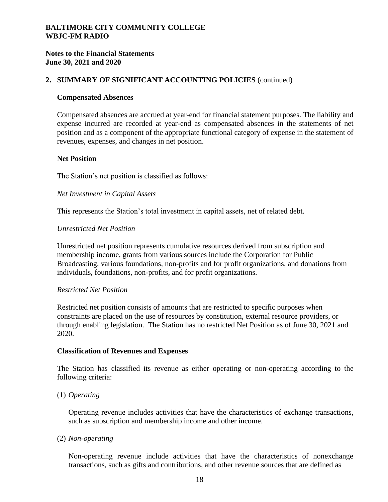# **Notes to the Financial Statements June 30, 2021 and 2020**

## **2. SUMMARY OF SIGNIFICANT ACCOUNTING POLICIES** (continued)

#### **Compensated Absences**

Compensated absences are accrued at year-end for financial statement purposes. The liability and expense incurred are recorded at year-end as compensated absences in the statements of net position and as a component of the appropriate functional category of expense in the statement of revenues, expenses, and changes in net position.

#### **Net Position**

The Station's net position is classified as follows:

#### *Net Investment in Capital Assets*

This represents the Station's total investment in capital assets, net of related debt.

#### *Unrestricted Net Position*

Unrestricted net position represents cumulative resources derived from subscription and membership income, grants from various sources include the Corporation for Public Broadcasting, various foundations, non-profits and for profit organizations, and donations from individuals, foundations, non-profits, and for profit organizations.

#### *Restricted Net Position*

Restricted net position consists of amounts that are restricted to specific purposes when constraints are placed on the use of resources by constitution, external resource providers, or through enabling legislation. The Station has no restricted Net Position as of June 30, 2021 and 2020.

#### **Classification of Revenues and Expenses**

The Station has classified its revenue as either operating or non-operating according to the following criteria:

#### (1) *Operating*

Operating revenue includes activities that have the characteristics of exchange transactions, such as subscription and membership income and other income.

#### (2) *Non-operating*

Non-operating revenue include activities that have the characteristics of nonexchange transactions, such as gifts and contributions, and other revenue sources that are defined as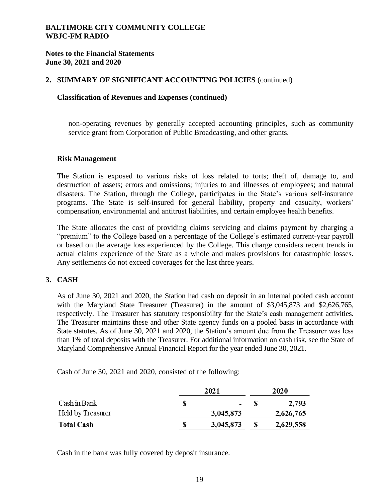**Notes to the Financial Statements June 30, 2021 and 2020**

### **2. SUMMARY OF SIGNIFICANT ACCOUNTING POLICIES** (continued)

#### **Classification of Revenues and Expenses (continued)**

non-operating revenues by generally accepted accounting principles, such as community service grant from Corporation of Public Broadcasting, and other grants.

#### **Risk Management**

The Station is exposed to various risks of loss related to torts; theft of, damage to, and destruction of assets; errors and omissions; injuries to and illnesses of employees; and natural disasters. The Station, through the College, participates in the State's various self-insurance programs. The State is self-insured for general liability, property and casualty, workers' compensation, environmental and antitrust liabilities, and certain employee health benefits.

The State allocates the cost of providing claims servicing and claims payment by charging a "premium" to the College based on a percentage of the College's estimated current-year payroll or based on the average loss experienced by the College. This charge considers recent trends in actual claims experience of the State as a whole and makes provisions for catastrophic losses. Any settlements do not exceed coverages for the last three years.

#### **3. CASH**

As of June 30, 2021 and 2020, the Station had cash on deposit in an internal pooled cash account with the Maryland State Treasurer (Treasurer) in the amount of \$3,045,873 and \$2,626,765, respectively. The Treasurer has statutory responsibility for the State's cash management activities. The Treasurer maintains these and other State agency funds on a pooled basis in accordance with State statutes. As of June 30, 2021 and 2020, the Station's amount due from the Treasurer was less than 1% of total deposits with the Treasurer. For additional information on cash risk, see the State of Maryland Comprehensive Annual Financial Report for the year ended June 30, 2021.

Cash of June 30, 2021 and 2020, consisted of the following:

|                   |  | 2020      |  |           |
|-------------------|--|-----------|--|-----------|
| Cash in Bank      |  |           |  | 2,793     |
| Held by Treasurer |  | 3,045,873 |  | 2,626,765 |
| <b>Total Cash</b> |  | 3,045,873 |  | 2,629,558 |

Cash in the bank was fully covered by deposit insurance.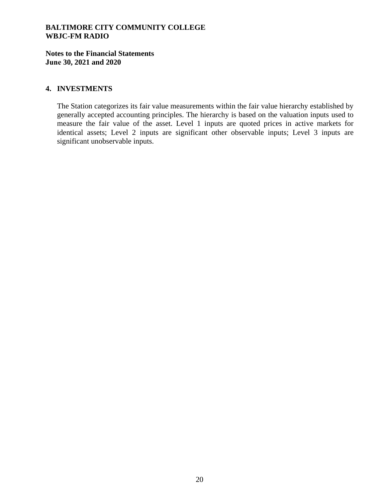**Notes to the Financial Statements June 30, 2021 and 2020**

### **4. INVESTMENTS**

The Station categorizes its fair value measurements within the fair value hierarchy established by generally accepted accounting principles. The hierarchy is based on the valuation inputs used to measure the fair value of the asset. Level 1 inputs are quoted prices in active markets for identical assets; Level 2 inputs are significant other observable inputs; Level 3 inputs are significant unobservable inputs.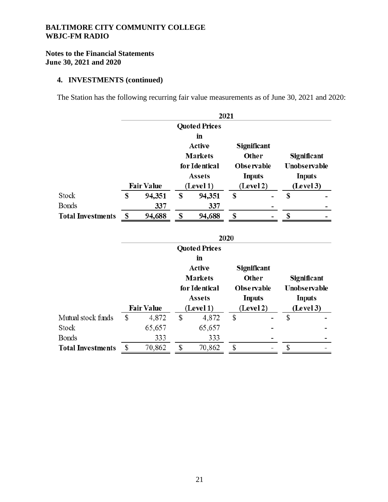# **Notes to the Financial Statements June 30, 2021 and 2020**

# **4. INVESTMENTS (continued)**

The Station has the following recurring fair value measurements as of June 30, 2021 and 2020:

|                          | 2021                 |                |        |    |                          |   |               |  |           |  |           |
|--------------------------|----------------------|----------------|--------|----|--------------------------|---|---------------|--|-----------|--|-----------|
|                          | <b>Quoted Prices</b> |                |        |    |                          |   |               |  |           |  |           |
|                          |                      |                |        |    |                          |   |               |  |           |  |           |
|                          |                      |                | Active |    | Significant              |   |               |  |           |  |           |
|                          |                      | <b>Markets</b> |        |    | Other                    |   | Significant   |  |           |  |           |
|                          |                      | for Identical  |        |    | <b>Observable</b>        |   | Unobservable  |  |           |  |           |
|                          |                      | <b>Assets</b>  |        |    | <b>Inputs</b>            |   | <b>Inputs</b> |  |           |  |           |
|                          | <b>Fair Value</b>    | (Level 1)      |        |    |                          |   |               |  | (Level 2) |  | (Level 3) |
| <b>Stock</b>             | \$<br>94,351         | \$             | 94,351 | \$ | $\overline{\phantom{a}}$ | S |               |  |           |  |           |
| <b>Bonds</b>             | 337                  |                | 337    |    |                          |   |               |  |           |  |           |
| <b>Total Investments</b> | 94,688               | \$             | 94,688 | \$ | -                        | S |               |  |           |  |           |

|                          | 2020 |                   |    |                |    |                    |                                            |  |  |  |  |  |
|--------------------------|------|-------------------|----|----------------|----|--------------------|--------------------------------------------|--|--|--|--|--|
|                          |      |                   |    |                |    |                    |                                            |  |  |  |  |  |
|                          |      |                   |    | in             |    |                    |                                            |  |  |  |  |  |
|                          |      |                   |    | Active         |    | <b>Significant</b> |                                            |  |  |  |  |  |
|                          |      |                   |    | <b>Markets</b> |    | Other              | <b>Significant</b>                         |  |  |  |  |  |
|                          |      |                   |    | for Identical  |    | <b>Observable</b>  | Unobservable<br><b>Inputs</b><br>(Level 3) |  |  |  |  |  |
|                          |      |                   |    | <b>Assets</b>  |    | <b>Inputs</b>      |                                            |  |  |  |  |  |
|                          |      | <b>Fair Value</b> |    | (Level 1)      |    | (Level 2)          |                                            |  |  |  |  |  |
| Mutual stock funds       | \$   | 4,872             | \$ | 4,872          | \$ | -                  | \$                                         |  |  |  |  |  |
| <b>Stock</b>             |      | 65,657            |    | 65,657         |    |                    |                                            |  |  |  |  |  |
| <b>Bonds</b>             |      | 333               |    | 333            |    |                    |                                            |  |  |  |  |  |
| <b>Total Investments</b> |      | 70,862            | S  | 70,862         | \$ |                    | \$                                         |  |  |  |  |  |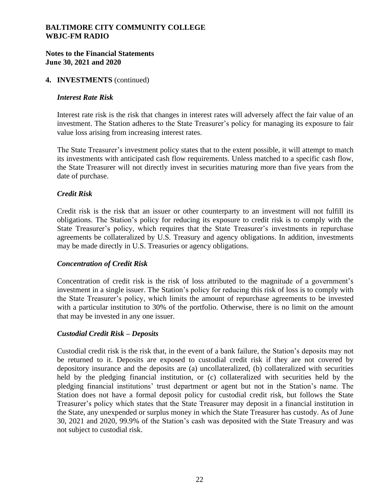# **Notes to the Financial Statements June 30, 2021 and 2020**

#### **4. INVESTMENTS** (continued)

### *Interest Rate Risk*

Interest rate risk is the risk that changes in interest rates will adversely affect the fair value of an investment. The Station adheres to the State Treasurer's policy for managing its exposure to fair value loss arising from increasing interest rates.

The State Treasurer's investment policy states that to the extent possible, it will attempt to match its investments with anticipated cash flow requirements. Unless matched to a specific cash flow, the State Treasurer will not directly invest in securities maturing more than five years from the date of purchase.

# *Credit Risk*

Credit risk is the risk that an issuer or other counterparty to an investment will not fulfill its obligations. The Station's policy for reducing its exposure to credit risk is to comply with the State Treasurer's policy, which requires that the State Treasurer's investments in repurchase agreements be collateralized by U.S. Treasury and agency obligations. In addition, investments may be made directly in U.S. Treasuries or agency obligations.

# *Concentration of Credit Risk*

Concentration of credit risk is the risk of loss attributed to the magnitude of a government's investment in a single issuer. The Station's policy for reducing this risk of loss is to comply with the State Treasurer's policy, which limits the amount of repurchase agreements to be invested with a particular institution to 30% of the portfolio. Otherwise, there is no limit on the amount that may be invested in any one issuer.

#### *Custodial Credit Risk – Deposits*

Custodial credit risk is the risk that, in the event of a bank failure, the Station's deposits may not be returned to it. Deposits are exposed to custodial credit risk if they are not covered by depository insurance and the deposits are (a) uncollateralized, (b) collateralized with securities held by the pledging financial institution, or (c) collateralized with securities held by the pledging financial institutions' trust department or agent but not in the Station's name. The Station does not have a formal deposit policy for custodial credit risk, but follows the State Treasurer's policy which states that the State Treasurer may deposit in a financial institution in the State, any unexpended or surplus money in which the State Treasurer has custody. As of June 30, 2021 and 2020, 99.9% of the Station's cash was deposited with the State Treasury and was not subject to custodial risk.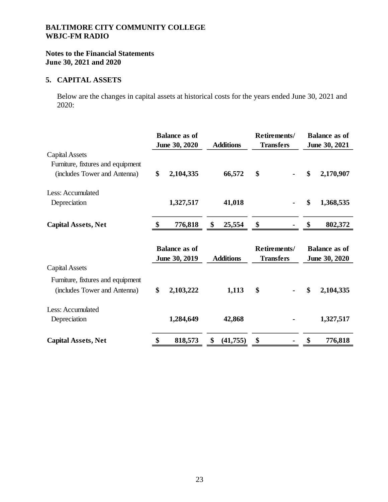# **Notes to the Financial Statements June 30, 2021 and 2020**

# **5. CAPITAL ASSETS**

Below are the changes in capital assets at historical costs for the years ended June 30, 2021 and 2020:

|                                   |    | <b>Balance as of</b> |                  | Retirements/     | <b>Balance as of</b> |               |  |
|-----------------------------------|----|----------------------|------------------|------------------|----------------------|---------------|--|
|                                   |    | June 30, 2020        | <b>Additions</b> | <b>Transfers</b> | June 30, 2021        |               |  |
| Capital Assets                    |    |                      |                  |                  |                      |               |  |
| Furniture, fixtures and equipment |    |                      |                  |                  |                      |               |  |
| (includes Tower and Antenna)      | \$ | 2,104,335            | 66,572           | \$               | \$                   | 2,170,907     |  |
| Less: Accumulated                 |    |                      |                  |                  |                      |               |  |
| Depreciation                      |    | 1,327,517            | 41,018           |                  | \$                   | 1,368,535     |  |
| <b>Capital Assets, Net</b>        | \$ | 776,818              | \$<br>25,554     | \$               | \$                   | 802,372       |  |
|                                   |    |                      |                  |                  |                      |               |  |
|                                   |    | <b>Balance as of</b> |                  | Retirements/     | <b>Balance as of</b> |               |  |
|                                   |    | June 30, 2019        | <b>Additions</b> | <b>Transfers</b> |                      | June 30, 2020 |  |
| Capital Assets                    |    |                      |                  |                  |                      |               |  |
| Furniture, fixtures and equipment |    |                      |                  |                  |                      |               |  |
| (includes Tower and Antenna)      | \$ | 2,103,222            | 1,113            | \$               | \$                   | 2,104,335     |  |
| Less: Accumulated                 |    |                      |                  |                  |                      |               |  |
| Depreciation                      |    | 1,284,649            | 42,868           |                  |                      | 1,327,517     |  |
| <b>Capital Assets, Net</b>        | \$ | 818,573              | \$<br>(41, 755)  | \$               | \$                   | 776,818       |  |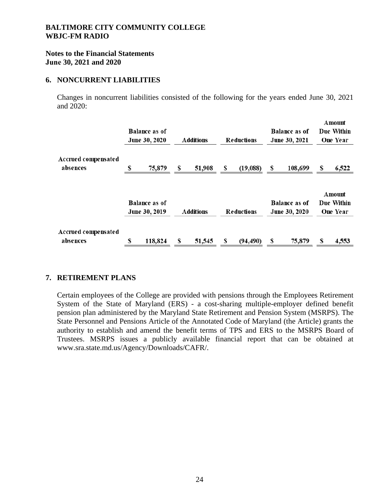### **Notes to the Financial Statements June 30, 2021 and 2020**

#### **6. NONCURRENT LIABILITIES**

Changes in noncurrent liabilities consisted of the following for the years ended June 30, 2021 and 2020:

|                                 | <b>Balance as of</b><br>June 30, 2020 |   | <b>Additions</b> |   | <b>Reductions</b> |    | <b>Balance as of</b><br>June 30, 2021 | Amount<br><b>Due Within</b><br><b>One Year</b> |                      |  |
|---------------------------------|---------------------------------------|---|------------------|---|-------------------|----|---------------------------------------|------------------------------------------------|----------------------|--|
| Accrued compensated<br>absences | \$<br>75,879                          | S | 51,908           | S | (19,088)          | S  | 108,699                               | S                                              | 6,522                |  |
|                                 | <b>Balance as of</b>                  |   |                  |   |                   |    | <b>Balance as of</b>                  |                                                | Amount<br>Due Within |  |
|                                 | June 30, 2019                         |   | <b>Additions</b> |   | Reductions        |    | June 30, 2020                         |                                                | <b>One Year</b>      |  |
| Accrued compensated<br>absences | \$<br>118,824                         | S | 51,545           | S | (94, 490)         | \$ | 75,879                                | S                                              | 4,553                |  |

# **7. RETIREMENT PLANS**

Certain employees of the College are provided with pensions through the Employees Retirement System of the State of Maryland (ERS) - a cost-sharing multiple-employer defined benefit pension plan administered by the Maryland State Retirement and Pension System (MSRPS). The State Personnel and Pensions Article of the Annotated Code of Maryland (the Article) grants the authority to establish and amend the benefit terms of TPS and ERS to the MSRPS Board of Trustees. MSRPS issues a publicly available financial report that can be obtained at www.sra.state.md.us/Agency/Downloads/CAFR/.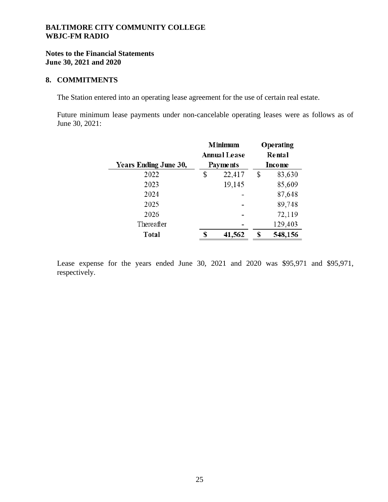### **Notes to the Financial Statements June 30, 2021 and 2020**

#### **8. COMMITMENTS**

The Station entered into an operating lease agreement for the use of certain real estate.

Future minimum lease payments under non-cancelable operating leases were as follows as of June 30, 2021:

|                       | <b>Minimum</b><br><b>Annual Lease</b> | Operating<br>Rental |         |  |  |  |
|-----------------------|---------------------------------------|---------------------|---------|--|--|--|
| Years Ending June 30, | <b>Payments</b>                       |                     | Income  |  |  |  |
| 2022                  | \$<br>22,417                          | \$                  | 83,630  |  |  |  |
| 2023                  | 19,145                                |                     | 85,609  |  |  |  |
| 2024                  |                                       |                     | 87,648  |  |  |  |
| 2025                  |                                       |                     | 89,748  |  |  |  |
| 2026                  |                                       |                     | 72,119  |  |  |  |
| Thereafter            |                                       |                     | 129,403 |  |  |  |
| Total                 | 41,562                                | S                   | 548,156 |  |  |  |

Lease expense for the years ended June 30, 2021 and 2020 was \$95,971 and \$95,971, respectively.